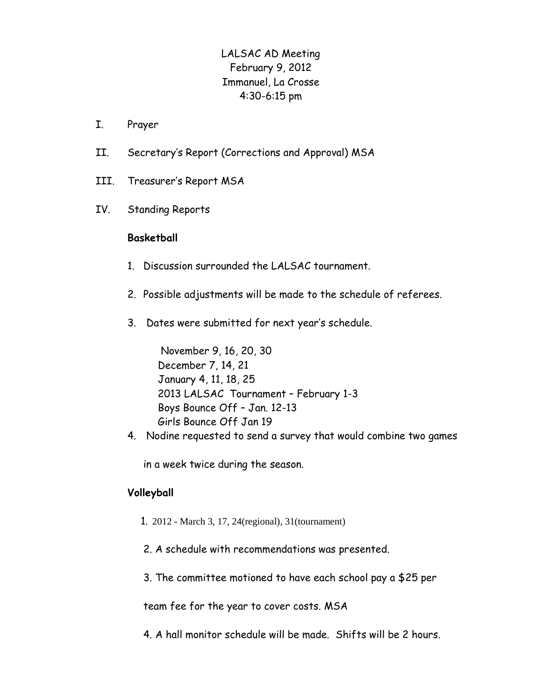# LALSAC AD Meeting February 9, 2012 Immanuel, La Crosse 4:30-6:15 pm

- I. Prayer
- II. Secretary's Report (Corrections and Approval) MSA
- III. Treasurer's Report MSA
- IV. Standing Reports

# **Basketball**

- 1. Discussion surrounded the LALSAC tournament.
- 2. Possible adjustments will be made to the schedule of referees.
- 3. Dates were submitted for next year's schedule.

 November 9, 16, 20, 30 December 7, 14, 21 January 4, 11, 18, 25 2013 LALSAC Tournament – February 1-3 Boys Bounce Off – Jan. 12-13 Girls Bounce Off Jan 19

4. Nodine requested to send a survey that would combine two games

in a week twice during the season.

# **Volleyball**

- 1. 2012 March 3, 17, 24(regional), 31(tournament)
- 2. A schedule with recommendations was presented.
- 3. The committee motioned to have each school pay a \$25 per

team fee for the year to cover costs. MSA

4. A hall monitor schedule will be made. Shifts will be 2 hours.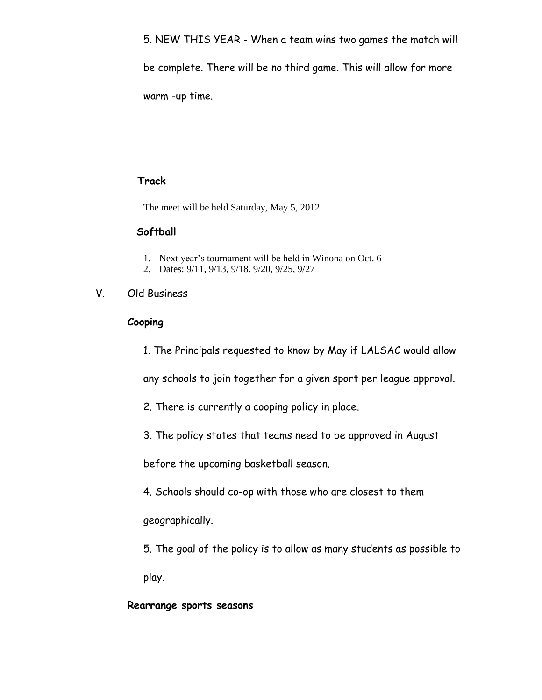5. NEW THIS YEAR - When a team wins two games the match will be complete. There will be no third game. This will allow for more warm -up time.

# **Track**

The meet will be held Saturday, May 5, 2012

#### **Softball**

- 1. Next year's tournament will be held in Winona on Oct. 6
- 2. Dates: 9/11, 9/13, 9/18, 9/20, 9/25, 9/27

# V. Old Business

#### **Cooping**

1. The Principals requested to know by May if LALSAC would allow

any schools to join together for a given sport per league approval.

- 2. There is currently a cooping policy in place.
- 3. The policy states that teams need to be approved in August

before the upcoming basketball season.

4. Schools should co-op with those who are closest to them

geographically.

5. The goal of the policy is to allow as many students as possible to play.

# **Rearrange sports seasons**